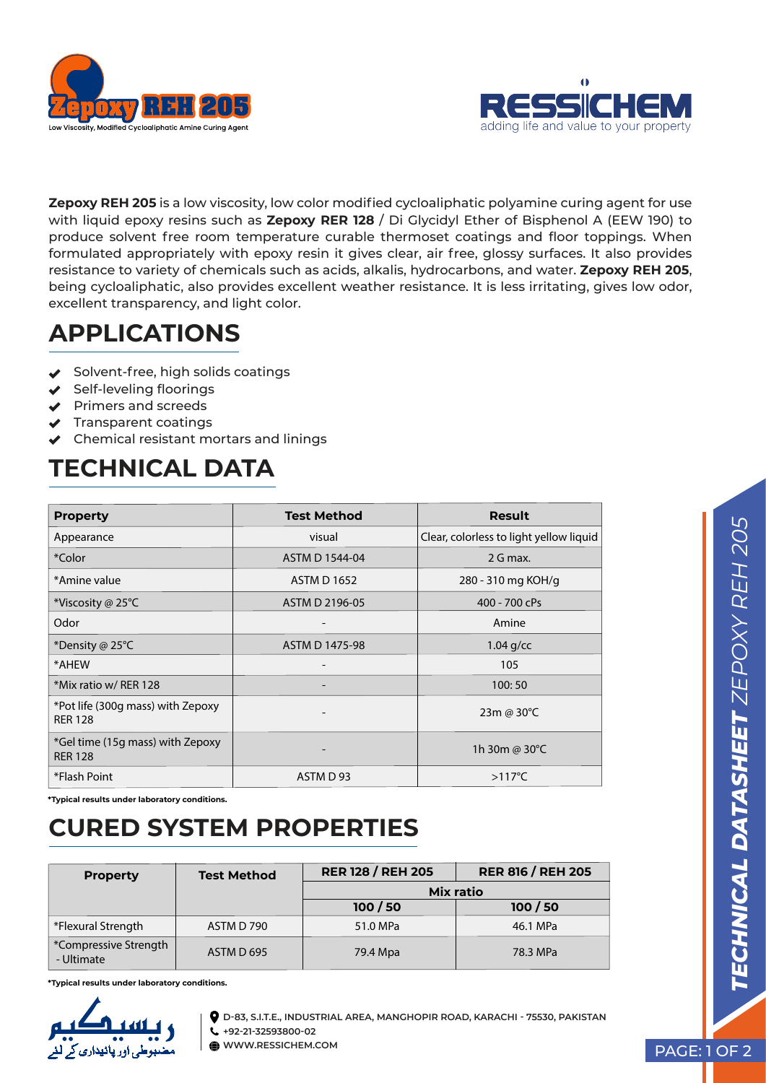



**Zepoxy REH 205** is a low viscosity, low color modified cycloaliphatic polyamine curing agent for use with liquid epoxy resins such as **Zepoxy RER 128** / Di Glycidyl Ether of Bisphenol A (EEW 190) to produce solvent free room temperature curable thermoset coatings and floor toppings. When formulated appropriately with epoxy resin it gives clear, air free, glossy surfaces. It also provides resistance to variety of chemicals such as acids, alkalis, hydrocarbons, and water. **Zepoxy REH 205**, being cycloaliphatic, also provides excellent weather resistance. It is less irritating, gives low odor, excellent transparency, and light color.

## **APPLICATIONS**

- Solvent-free, high solids coatings
- $\triangleleft$  Self-leveling floorings
- $\blacktriangleright$  Primers and screeds
- $\blacktriangleright$  Transparent coatings
- Chemical resistant mortars and linings

# **TECHNICAL DATA**

| <b>Property</b>                                     | <b>Test Method</b>                       | <b>Result</b>                           |  |
|-----------------------------------------------------|------------------------------------------|-----------------------------------------|--|
| Appearance                                          | visual                                   | Clear, colorless to light yellow liquid |  |
| *Color                                              | ASTM D 1544-04                           | 2 G max.                                |  |
| *Amine value                                        | <b>ASTM D 1652</b><br>280 - 310 mg KOH/g |                                         |  |
| *Viscosity @ 25 $\degree$ C                         | ASTM D 2196-05                           | 400 - 700 cPs                           |  |
| Odor                                                |                                          | Amine                                   |  |
| *Density @ 25 $\degree$ C                           | ASTM D 1475-98                           | $1.04$ g/cc                             |  |
| *AHEW                                               | -                                        | 105                                     |  |
| *Mix ratio w/ RER 128                               |                                          | 100:50                                  |  |
| *Pot life (300g mass) with Zepoxy<br><b>RER 128</b> |                                          | 23m @ 30°C                              |  |
| *Gel time (15g mass) with Zepoxy<br><b>RER 128</b>  |                                          | 1h 30m @ 30 $^{\circ}$ C                |  |
| *Flash Point                                        | ASTM D 93                                | $>117^{\circ}$ C                        |  |

**\*Typical results under laboratory conditions.**

## **CURED SYSTEM PROPERTIES**

| <b>Property</b>                     | <b>Test Method</b> | <b>RER 128 / REH 205</b> | <b>RER 816 / REH 205</b> |
|-------------------------------------|--------------------|--------------------------|--------------------------|
|                                     |                    | Mix ratio                |                          |
|                                     |                    | 100 / 50                 | 100 / 50                 |
| *Flexural Strength                  | ASTM D 790         | 51.0 MPa                 | 46.1 MPa                 |
| *Compressive Strength<br>- Ultimate | ASTM D 695         | 79.4 Mpa                 | 78.3 MPa                 |

**\*Typical results under laboratory conditions.**



**D-83, S.I.T.E., INDUSTRIAL AREA, MANGHOPIR ROAD, KARACHI - 75530, PAKISTAN +92-21-32593800-02 WWW.RESSICHEM.COM** PAGE: 1 OF 2